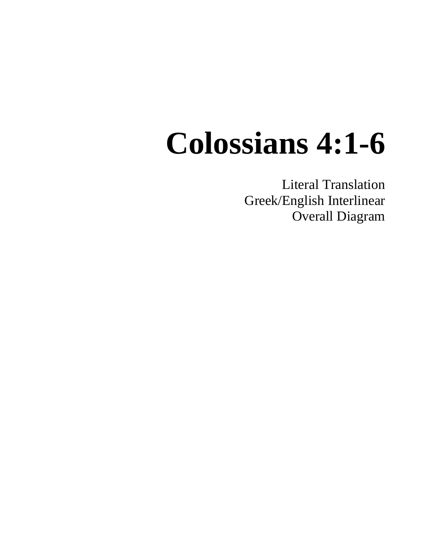# **Colossians 4:1-6**

Literal Translation Greek/English Interlinear Overall Diagram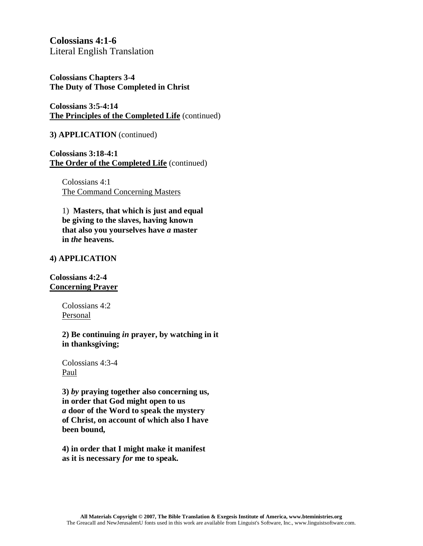**Colossians 4:1-6** Literal English Translation

**Colossians Chapters 3-4 The Duty of Those Completed in Christ**

**Colossians 3:5-4:14 The Principles of the Completed Life** (continued)

**3) APPLICATION** (continued)

**Colossians 3:18-4:1 The Order of the Completed Life** (continued)

Colossians 4:1 The Command Concerning Masters

1) **Masters, that which is just and equal be giving to the slaves, having known that also you yourselves have** *a* **master in** *the* **heavens.**

#### **4) APPLICATION**

**Colossians 4:2-4 Concerning Prayer**

> Colossians 4:2 Personal

**2) Be continuing** *in* **prayer, by watching in it in thanksgiving;**

Colossians 4:3-4 Paul

**3)** *by* **praying together also concerning us, in order that God might open to us** *a* **door of the Word to speak the mystery of Christ, on account of which also I have been bound,**

**4) in order that I might make it manifest as it is necessary** *for* **me to speak.**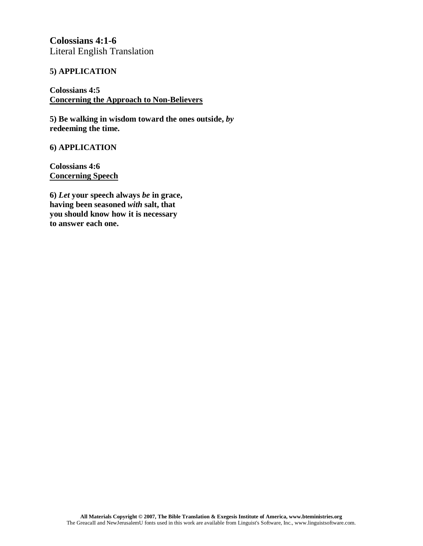**Colossians 4:1-6** Literal English Translation

#### **5) APPLICATION**

#### **Colossians 4:5 Concerning the Approach to Non-Believers**

**5) Be walking in wisdom toward the ones outside,** *by* **redeeming the time.**

#### **6) APPLICATION**

**Colossians 4:6 Concerning Speech**

**6)** *Let* **your speech always** *be* **in grace, having been seasoned** *with* **salt, that you should know how it is necessary to answer each one.**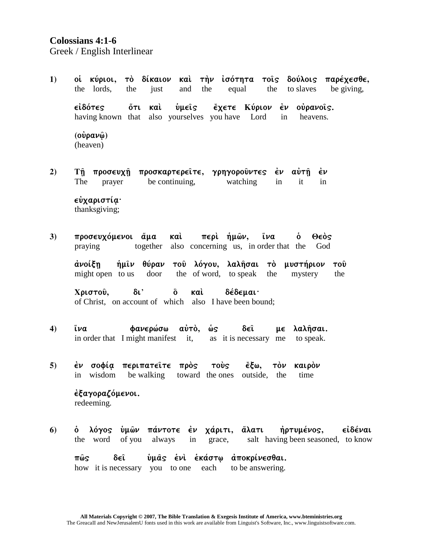## **Colossians 4:1-6**

Greek / English Interlinear

 $1)$ οί κύριοι, τὸ δίκαιον καὶ τὴν ἰσότητα τοῖς δούλοις παρέχεσθε, the lords. iust the equal the to slaves be giving, the and έχετε Κύριον έν ούρανοις. ∈ἰδότες <u>ὅτι καὶ</u> **νωεῖς** having known that also yourselves you have Lord  $in$ heavens.  $(ovpav\hat{\omega})$ (heaven)

 $2)$ προσκαρτερείτε, γρηγορούντες έν αύτη έν Τῆ προσευχῆ The be continuing, watching it prayer  $in$  $in$ 

εὐχαριστία· thanksgiving;

 $3)$ προσευχόμενοι άμα καὶ περὶ ήμῶν, ἵνa ò Θεὸς praying together also concerning us, in order that the God

ἀνοίξη ήμιν θύραν του λόγου, λαλήσαι τὸ μυστήριον του the of word, to speak might open to us door mystery the the

 $\delta$ <sup>1</sup> ő καì. **δέδεμαι·** Χριστού. of Christ, on account of which also I have been bound;

- $\left( 4\right)$ ἵνα φανερώσω αὐτὸ, ώς δεî με λαλήσαι. in order that I might manifest it, as it is necessary me to speak.
- έν σοφία περιπατεΐτε πρός  $5)$ **TOUS** ἔξω. τὸν καιρόν in wisdom be walking toward the ones outside, the time

έξαγοραζόμενοι. redeeming.

λόγος ὑμῶν πάντοτε ἐν χάριτι, ἅλατι ήρτυμένος, ∈ἰδέναι 6)  $\dot{\mathbf{o}}$ the word of you always in grace, salt having been seasoned, to know

δ∈ῖ ύμας ένι έκάστω αποκρίνεσθαι. πῶς how it is necessary you to one each to be answering.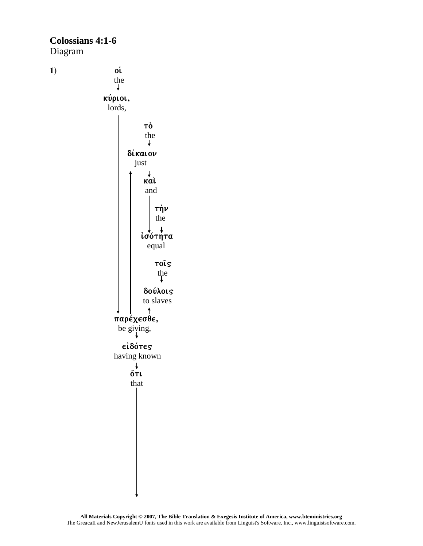## **Colossians 4:1-6** Diagram

 $1)$ 

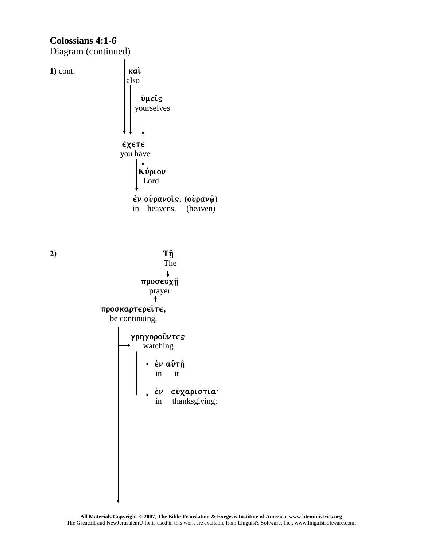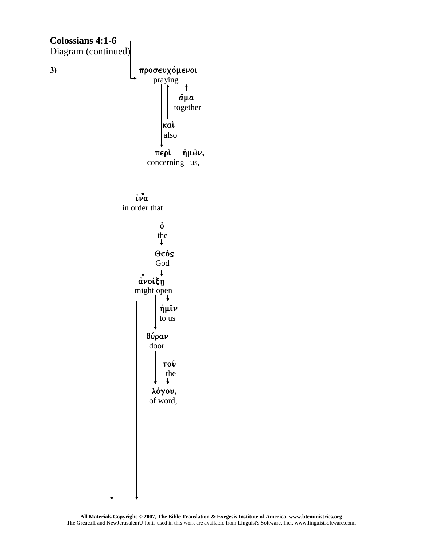

All Materials Copyright  $@$  2007, The Bible Translation & Exegesis Institute of America, www.bteministries.org The GreacalI and New Jerusalem U fonts used in this work are available from Linguist's Software, Inc., www.linguistsoftware.com.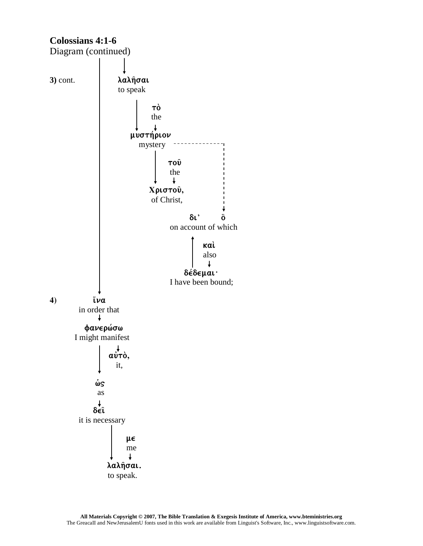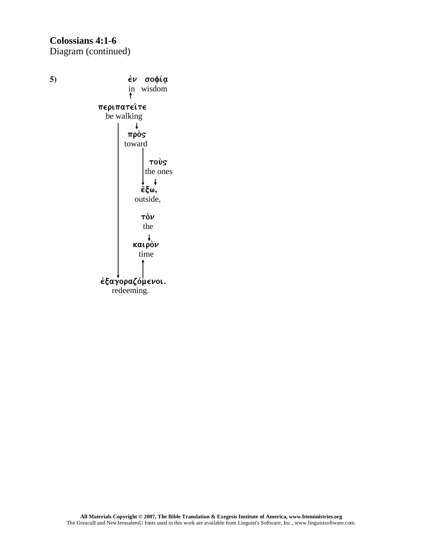## **Colossians 4:1-6** Diagram (continued)



redeeming.